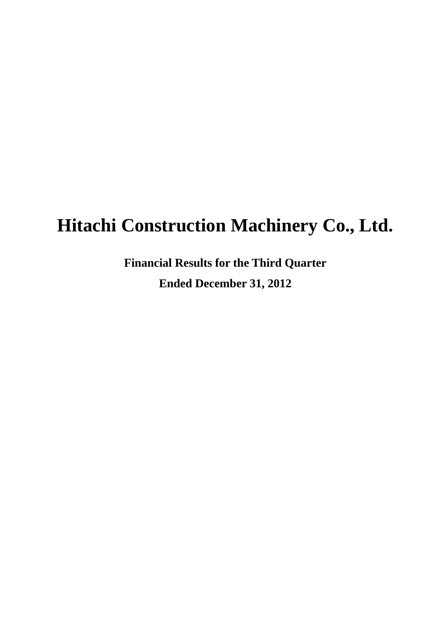# **Hitachi Construction Machinery Co., Ltd.**

**Financial Results for the Third Quarter Ended December 31, 2012**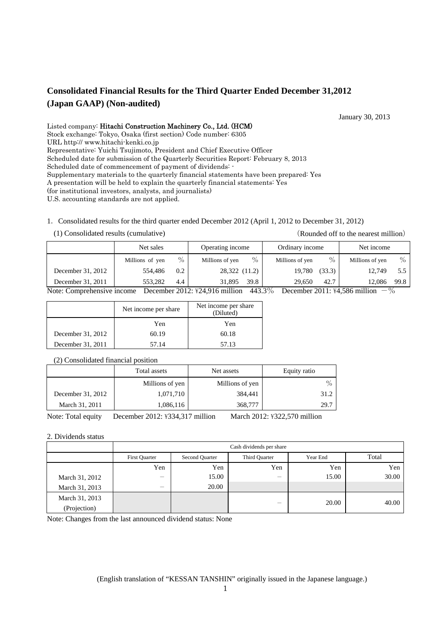#### **Consolidated Financial Results for the Third Quarter Ended December 31,2012 (Japan GAAP) (Non-audited)**

January 30, 2013

Listed company: Hitachi Construction Machinery Co., Ltd. (HCM) Stock exchange: Tokyo, Osaka (first section) Code number: 6305 URL http:// www.hitachi-kenki.co.jp Representative: Yuichi Tsujimoto, President and Chief Executive Officer Scheduled date for submission of the Quarterly Securities Report: February 8, 2013 Scheduled date of commencement of payment of dividends: -Supplementary materials to the quarterly financial statements have been prepared: Yes A presentation will be held to explain the quarterly financial statements: Yes (for institutional investors, analysts, and journalists) U.S. accounting standards are not applied.

#### 1.Consolidated results for the third quarter ended December 2012 (April 1, 2012 to December 31, 2012)

(1) Consolidated results (cumulative) (Rounded off to the nearest million)

|                            | Net sales       | Operating income |                                                      | Ordinary income                  | Net income                                          |  |
|----------------------------|-----------------|------------------|------------------------------------------------------|----------------------------------|-----------------------------------------------------|--|
|                            | Millions of yen | $\%$             | $\%$<br>Millions of yen                              | $\frac{0}{0}$<br>Millions of yen | $\%$<br>Millions of yen                             |  |
| December 31, 2012          | 554.486         | 0.2              | 28,322 (11.2)                                        | (33.3)<br>19,780                 | 12.749<br>$5.5 \;$ 1                                |  |
| December 31, 2011          | 553.282         | 4.4              | 39.8<br>31.895                                       | 42.7<br>29,650                   | 99.8<br>12.086                                      |  |
| Note: Comprehensive income |                 |                  | $443.3\%$<br>$\Gamma$ ecember $2012:424.916$ million |                                  | December $2011\cdot \frac{1}{2}4$ 586 million $-$ % |  |

Note: Comprehensive income December 2012:  $\frac{1}{2}$ 4,916 million 443.3% December 2011:  $\frac{1}{2}$ 4,586 million

|                   | Net income per share | Net income per share<br>(Diluted) |
|-------------------|----------------------|-----------------------------------|
|                   | Yen                  | Yen                               |
| December 31, 2012 | 60.19                | 60.18                             |
| December 31, 2011 | 57.14                | 57.13                             |

(2) Consolidated financial position

|                   | Total assets    | Net assets      | Equity ratio |
|-------------------|-----------------|-----------------|--------------|
|                   | Millions of yen | Millions of yen | $\%$         |
| December 31, 2012 | 1,071,710       | 384.441         | 31.2         |
| March 31, 2011    | 1,086,116       | 368,777         | 29.7         |

Note: Total equity December 2012: ¥334,317 million March 2012: ¥322,570 million

#### 2. Dividends status

|                | Cash dividends per share |                |               |          |       |  |
|----------------|--------------------------|----------------|---------------|----------|-------|--|
|                | <b>First Quarter</b>     | Second Quarter | Third Quarter | Year End | Total |  |
|                | Yen                      | Yen            | Yen           | Yen      | Yen   |  |
| March 31, 2012 |                          | 15.00          | -             | 15.00    | 30.00 |  |
| March 31, 2013 | $\overline{\phantom{a}}$ | 20.00          |               |          |       |  |
| March 31, 2013 |                          |                |               | 20.00    | 40.00 |  |
| (Projection)   |                          |                | –             |          |       |  |

Note: Changes from the last announced dividend status: None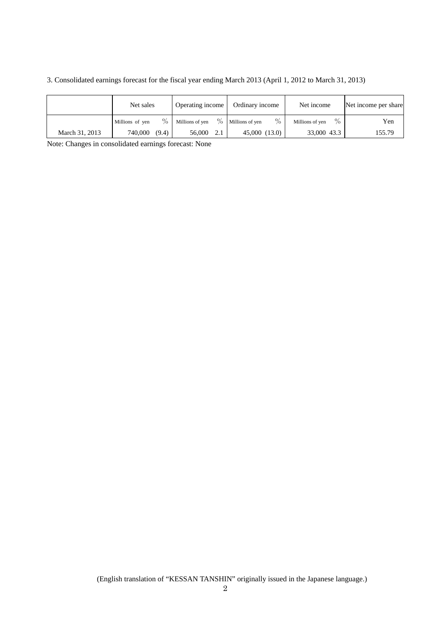3. Consolidated earnings forecast for the fiscal year ending March 2013 (April 1, 2012 to March 31, 2013)

|                | Net sales               | Operating income                 | Ordinary income         | Net income              | Net income per share |
|----------------|-------------------------|----------------------------------|-------------------------|-------------------------|----------------------|
|                | $\%$<br>Millions of yen | $\frac{0}{0}$<br>Millions of yen | $\%$<br>Millions of ven | $\%$<br>Millions of yen | Yen                  |
| March 31, 2013 | 740,000<br>(9.4)        | 56,000<br>2.1                    | 45,000 (13.0)           | 33,000 43.3             | 155.79               |

Note: Changes in consolidated earnings forecast: None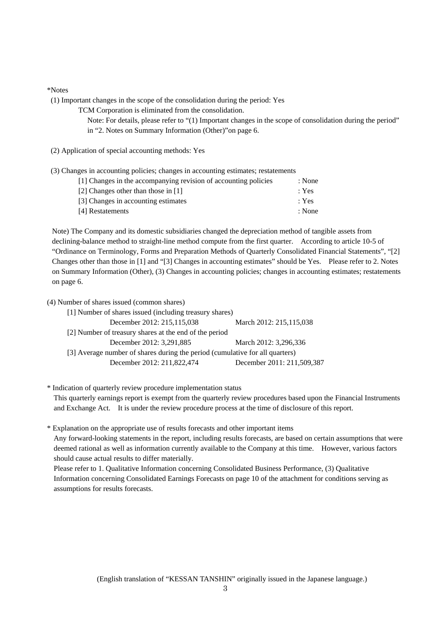#### \*Notes

(1) Important changes in the scope of the consolidation during the period: Yes

TCM Corporation is eliminated from the consolidation.

Note: For details, please refer to "(1) Important changes in the scope of consolidation during the period" in "2. Notes on Summary Information (Other)"on page 6.

(2) Application of special accounting methods: Yes

(3) Changes in accounting policies; changes in accounting estimates; restatements

| [1] Changes in the accompanying revision of accounting policies | : None |
|-----------------------------------------------------------------|--------|
| [2] Changes other than those in [1]                             | : Yes  |
| [3] Changes in accounting estimates                             | : Yes  |
| [4] Restatements                                                | : None |

Note) The Company and its domestic subsidiaries changed the depreciation method of tangible assets from declining-balance method to straight-line method compute from the first quarter. According to article 10-5 of "Ordinance on Terminology, Forms and Preparation Methods of Quarterly Consolidated Financial Statements", "[2] Changes other than those in [1] and "[3] Changes in accounting estimates" should be Yes. Please refer to 2. Notes on Summary Information (Other), (3) Changes in accounting policies; changes in accounting estimates; restatements on page 6.

(4) Number of shares issued (common shares)

| [1] Number of shares issued (including treasury shares)                      |  |
|------------------------------------------------------------------------------|--|
| December 2012: 215,115,038<br>March 2012: 215,115,038                        |  |
| [2] Number of treasury shares at the end of the period                       |  |
| December 2012: 3,291,885<br>March 2012: 3,296,336                            |  |
| [3] Average number of shares during the period (cumulative for all quarters) |  |
| December 2011: 211,509,387<br>December 2012: 211,822,474                     |  |

\* Indication of quarterly review procedure implementation status

This quarterly earnings report is exempt from the quarterly review procedures based upon the Financial Instruments and Exchange Act. It is under the review procedure process at the time of disclosure of this report.

\* Explanation on the appropriate use of results forecasts and other important items

Any forward-looking statements in the report, including results forecasts, are based on certain assumptions that were deemed rational as well as information currently available to the Company at this time. However, various factors should cause actual results to differ materially.

Please refer to 1. Qualitative Information concerning Consolidated Business Performance, (3) Qualitative Information concerning Consolidated Earnings Forecasts on page 10 of the attachment for conditions serving as assumptions for results forecasts.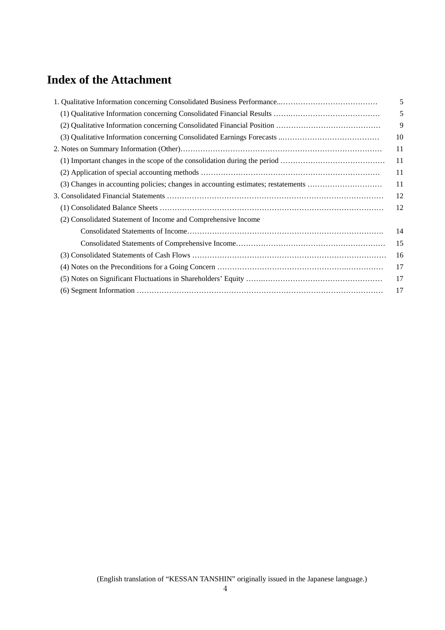### **Index of the Attachment**

|                                                                                   | 5  |
|-----------------------------------------------------------------------------------|----|
|                                                                                   | 5  |
|                                                                                   | 9  |
|                                                                                   | 10 |
|                                                                                   | 11 |
|                                                                                   | 11 |
|                                                                                   | 11 |
| (3) Changes in accounting policies; changes in accounting estimates; restatements | 11 |
|                                                                                   | 12 |
|                                                                                   | 12 |
| (2) Consolidated Statement of Income and Comprehensive Income                     |    |
|                                                                                   | 14 |
|                                                                                   | 15 |
|                                                                                   | 16 |
|                                                                                   | 17 |
|                                                                                   | 17 |
|                                                                                   | 17 |
|                                                                                   |    |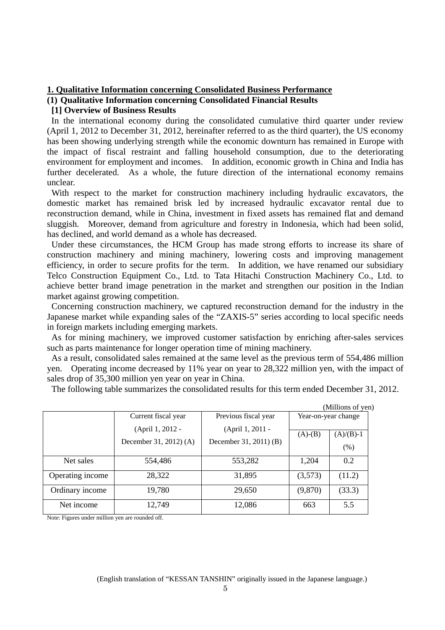#### **1. Qualitative Information concerning Consolidated Business Performance**

#### **(1) Qualitative Information concerning Consolidated Financial Results**

#### **[1] Overview of Business Results**

 In the international economy during the consolidated cumulative third quarter under review (April 1, 2012 to December 31, 2012, hereinafter referred to as the third quarter), the US economy has been showing underlying strength while the economic downturn has remained in Europe with the impact of fiscal restraint and falling household consumption, due to the deteriorating environment for employment and incomes. In addition, economic growth in China and India has further decelerated. As a whole, the future direction of the international economy remains unclear.

 With respect to the market for construction machinery including hydraulic excavators, the domestic market has remained brisk led by increased hydraulic excavator rental due to reconstruction demand, while in China, investment in fixed assets has remained flat and demand sluggish. Moreover, demand from agriculture and forestry in Indonesia, which had been solid, has declined, and world demand as a whole has decreased.

 Under these circumstances, the HCM Group has made strong efforts to increase its share of construction machinery and mining machinery, lowering costs and improving management efficiency, in order to secure profits for the term. In addition, we have renamed our subsidiary Telco Construction Equipment Co., Ltd. to Tata Hitachi Construction Machinery Co., Ltd. to achieve better brand image penetration in the market and strengthen our position in the Indian market against growing competition.

 Concerning construction machinery, we captured reconstruction demand for the industry in the Japanese market while expanding sales of the "ZAXIS-5" series according to local specific needs in foreign markets including emerging markets.

 As for mining machinery, we improved customer satisfaction by enriching after-sales services such as parts maintenance for longer operation time of mining machinery.

 As a result, consolidated sales remained at the same level as the previous term of 554,486 million yen. Operating income decreased by 11% year on year to 28,322 million yen, with the impact of sales drop of 35,300 million yen year on year in China.

The following table summarizes the consolidated results for this term ended December 31, 2012.

|                  |                        |                        |           | (Millions of yen)   |
|------------------|------------------------|------------------------|-----------|---------------------|
|                  | Current fiscal year    | Previous fiscal year   |           | Year-on-year change |
|                  | (April 1, 2012 -       | (April 1, 2011 -       | $(A)-(B)$ | $(A)/(B)-1$         |
|                  | December 31, 2012) (A) | December 31, 2011) (B) |           | (% )                |
| Net sales        | 554,486                | 553,282                | 1,204     | 0.2                 |
| Operating income | 28,322                 | 31,895                 | (3,573)   | (11.2)              |
| Ordinary income  | 19,780                 | 29,650                 | (9,870)   | (33.3)              |
| Net income       | 12,749                 | 12,086                 | 663       | 5.5                 |

Note: Figures under million yen are rounded off.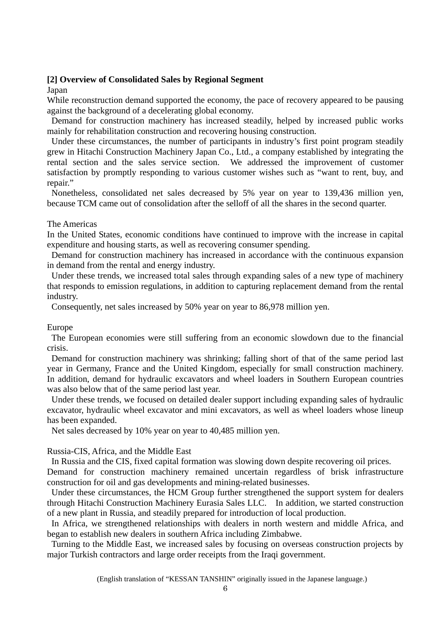#### **[2] Overview of Consolidated Sales by Regional Segment**

#### Japan

While reconstruction demand supported the economy, the pace of recovery appeared to be pausing against the background of a decelerating global economy.

 Demand for construction machinery has increased steadily, helped by increased public works mainly for rehabilitation construction and recovering housing construction.

 Under these circumstances, the number of participants in industry's first point program steadily grew in Hitachi Construction Machinery Japan Co., Ltd., a company established by integrating the rental section and the sales service section. We addressed the improvement of customer satisfaction by promptly responding to various customer wishes such as "want to rent, buy, and repair."

 Nonetheless, consolidated net sales decreased by 5% year on year to 139,436 million yen, because TCM came out of consolidation after the selloff of all the shares in the second quarter.

#### The Americas

In the United States, economic conditions have continued to improve with the increase in capital expenditure and housing starts, as well as recovering consumer spending.

 Demand for construction machinery has increased in accordance with the continuous expansion in demand from the rental and energy industry.

 Under these trends, we increased total sales through expanding sales of a new type of machinery that responds to emission regulations, in addition to capturing replacement demand from the rental industry.

Consequently, net sales increased by 50% year on year to 86,978 million yen.

#### Europe

The European economies were still suffering from an economic slowdown due to the financial crisis.

 Demand for construction machinery was shrinking; falling short of that of the same period last year in Germany, France and the United Kingdom, especially for small construction machinery. In addition, demand for hydraulic excavators and wheel loaders in Southern European countries was also below that of the same period last year.

 Under these trends, we focused on detailed dealer support including expanding sales of hydraulic excavator, hydraulic wheel excavator and mini excavators, as well as wheel loaders whose lineup has been expanded.

Net sales decreased by 10% year on year to 40,485 million yen.

#### Russia-CIS, Africa, and the Middle East

In Russia and the CIS, fixed capital formation was slowing down despite recovering oil prices.

Demand for construction machinery remained uncertain regardless of brisk infrastructure construction for oil and gas developments and mining-related businesses.

 Under these circumstances, the HCM Group further strengthened the support system for dealers through Hitachi Construction Machinery Eurasia Sales LLC. In addition, we started construction of a new plant in Russia, and steadily prepared for introduction of local production.

 In Africa, we strengthened relationships with dealers in north western and middle Africa, and began to establish new dealers in southern Africa including Zimbabwe.

 Turning to the Middle East, we increased sales by focusing on overseas construction projects by major Turkish contractors and large order receipts from the Iraqi government.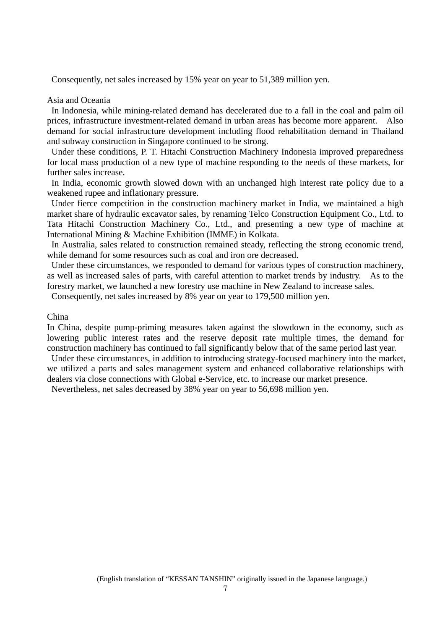Consequently, net sales increased by 15% year on year to 51,389 million yen.

#### Asia and Oceania

 In Indonesia, while mining-related demand has decelerated due to a fall in the coal and palm oil prices, infrastructure investment-related demand in urban areas has become more apparent. Also demand for social infrastructure development including flood rehabilitation demand in Thailand and subway construction in Singapore continued to be strong.

 Under these conditions, P. T. Hitachi Construction Machinery Indonesia improved preparedness for local mass production of a new type of machine responding to the needs of these markets, for further sales increase.

 In India, economic growth slowed down with an unchanged high interest rate policy due to a weakened rupee and inflationary pressure.

 Under fierce competition in the construction machinery market in India, we maintained a high market share of hydraulic excavator sales, by renaming Telco Construction Equipment Co., Ltd. to Tata Hitachi Construction Machinery Co., Ltd., and presenting a new type of machine at International Mining & Machine Exhibition (IMME) in Kolkata.

 In Australia, sales related to construction remained steady, reflecting the strong economic trend, while demand for some resources such as coal and iron ore decreased.

 Under these circumstances, we responded to demand for various types of construction machinery, as well as increased sales of parts, with careful attention to market trends by industry. As to the forestry market, we launched a new forestry use machine in New Zealand to increase sales.

Consequently, net sales increased by 8% year on year to 179,500 million yen.

#### China

In China, despite pump-priming measures taken against the slowdown in the economy, such as lowering public interest rates and the reserve deposit rate multiple times, the demand for construction machinery has continued to fall significantly below that of the same period last year.

 Under these circumstances, in addition to introducing strategy-focused machinery into the market, we utilized a parts and sales management system and enhanced collaborative relationships with dealers via close connections with Global e-Service, etc. to increase our market presence.

Nevertheless, net sales decreased by 38% year on year to 56,698 million yen.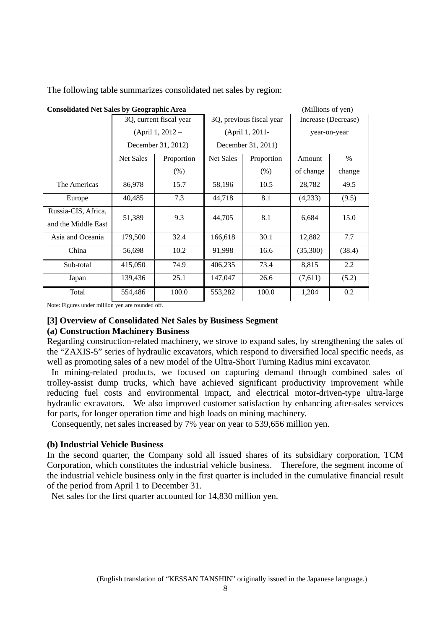| <b>Consolidated Net Sales by Geographic Area</b><br>(Millions of yen) |                    |                         |                          |                    |                     |              |  |
|-----------------------------------------------------------------------|--------------------|-------------------------|--------------------------|--------------------|---------------------|--------------|--|
|                                                                       |                    | 3Q, current fiscal year | 3Q, previous fiscal year |                    | Increase (Decrease) |              |  |
|                                                                       | $(April 1, 2012 -$ |                         | (April 1, 2011-          |                    |                     | year-on-year |  |
|                                                                       |                    | December 31, 2012)      |                          | December 31, 2011) |                     |              |  |
|                                                                       | <b>Net Sales</b>   | Proportion              | <b>Net Sales</b>         | Proportion         | Amount              | $\%$         |  |
|                                                                       |                    | (% )                    |                          | (% )               | of change           | change       |  |
| The Americas                                                          | 86,978             | 15.7                    | 58,196                   | 10.5               | 28,782              | 49.5         |  |
| Europe                                                                | 40,485             | 7.3                     | 44,718                   | 8.1                | (4,233)             | (9.5)        |  |
| Russia-CIS, Africa,<br>and the Middle East                            | 51,389             | 9.3                     | 44,705                   | 8.1                | 6,684               | 15.0         |  |
| Asia and Oceania                                                      | 179,500            | 32.4                    | 166,618                  | 30.1               | 12,882              | 7.7          |  |
| China                                                                 | 56,698             | 10.2                    | 91,998                   | 16.6               | (35,300)            | (38.4)       |  |
| Sub-total                                                             | 415,050            | 74.9                    | 406,235                  | 73.4               | 8,815               | 2.2          |  |
| Japan                                                                 | 139,436            | 25.1                    | 147,047                  | 26.6               | (7,611)             | (5.2)        |  |
| Total                                                                 | 554,486            | 100.0                   | 553,282                  | 100.0              | 1,204               | 0.2          |  |

The following table summarizes consolidated net sales by region:

Note: Figures under million yen are rounded off.

#### **[3] Overview of Consolidated Net Sales by Business Segment**

#### **(a) Construction Machinery Business**

Regarding construction-related machinery, we strove to expand sales, by strengthening the sales of the "ZAXIS-5" series of hydraulic excavators, which respond to diversified local specific needs, as well as promoting sales of a new model of the Ultra-Short Turning Radius mini excavator.

 In mining-related products, we focused on capturing demand through combined sales of trolley-assist dump trucks, which have achieved significant productivity improvement while reducing fuel costs and environmental impact, and electrical motor-driven-type ultra-large hydraulic excavators. We also improved customer satisfaction by enhancing after-sales services for parts, for longer operation time and high loads on mining machinery.

Consequently, net sales increased by 7% year on year to 539,656 million yen.

#### **(b) Industrial Vehicle Business**

In the second quarter, the Company sold all issued shares of its subsidiary corporation, TCM Corporation, which constitutes the industrial vehicle business. Therefore, the segment income of the industrial vehicle business only in the first quarter is included in the cumulative financial result of the period from April 1 to December 31.

Net sales for the first quarter accounted for 14,830 million yen.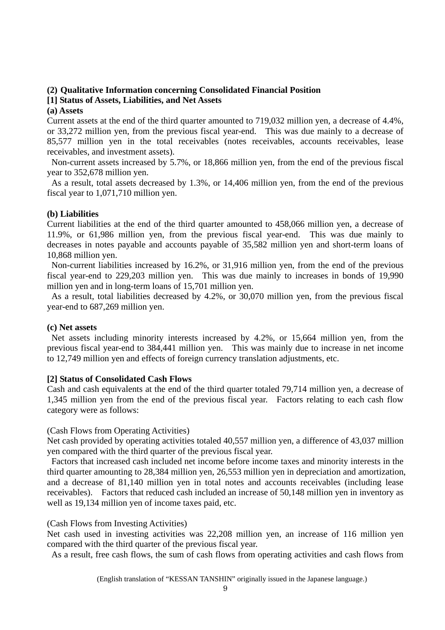#### **(2) Qualitative Information concerning Consolidated Financial Position**

#### **[1] Status of Assets, Liabilities, and Net Assets**

#### **(a) Assets**

Current assets at the end of the third quarter amounted to 719,032 million yen, a decrease of 4.4%, or 33,272 million yen, from the previous fiscal year-end. This was due mainly to a decrease of 85,577 million yen in the total receivables (notes receivables, accounts receivables, lease receivables, and investment assets).

 Non-current assets increased by 5.7%, or 18,866 million yen, from the end of the previous fiscal year to 352,678 million yen.

 As a result, total assets decreased by 1.3%, or 14,406 million yen, from the end of the previous fiscal year to 1,071,710 million yen.

#### **(b) Liabilities**

Current liabilities at the end of the third quarter amounted to 458,066 million yen, a decrease of 11.9%, or 61,986 million yen, from the previous fiscal year-end. This was due mainly to decreases in notes payable and accounts payable of 35,582 million yen and short-term loans of 10,868 million yen.

 Non-current liabilities increased by 16.2%, or 31,916 million yen, from the end of the previous fiscal year-end to 229,203 million yen. This was due mainly to increases in bonds of 19,990 million yen and in long-term loans of 15,701 million yen.

 As a result, total liabilities decreased by 4.2%, or 30,070 million yen, from the previous fiscal year-end to 687,269 million yen.

#### **(c) Net assets**

 Net assets including minority interests increased by 4.2%, or 15,664 million yen, from the previous fiscal year-end to 384,441 million yen. This was mainly due to increase in net income to 12,749 million yen and effects of foreign currency translation adjustments, etc.

#### **[2] Status of Consolidated Cash Flows**

Cash and cash equivalents at the end of the third quarter totaled 79,714 million yen, a decrease of 1,345 million yen from the end of the previous fiscal year. Factors relating to each cash flow category were as follows:

#### (Cash Flows from Operating Activities)

Net cash provided by operating activities totaled 40,557 million yen, a difference of 43,037 million yen compared with the third quarter of the previous fiscal year.

 Factors that increased cash included net income before income taxes and minority interests in the third quarter amounting to 28,384 million yen, 26,553 million yen in depreciation and amortization, and a decrease of 81,140 million yen in total notes and accounts receivables (including lease receivables). Factors that reduced cash included an increase of 50,148 million yen in inventory as well as 19,134 million yen of income taxes paid, etc.

#### (Cash Flows from Investing Activities)

Net cash used in investing activities was 22,208 million yen, an increase of 116 million yen compared with the third quarter of the previous fiscal year.

As a result, free cash flows, the sum of cash flows from operating activities and cash flows from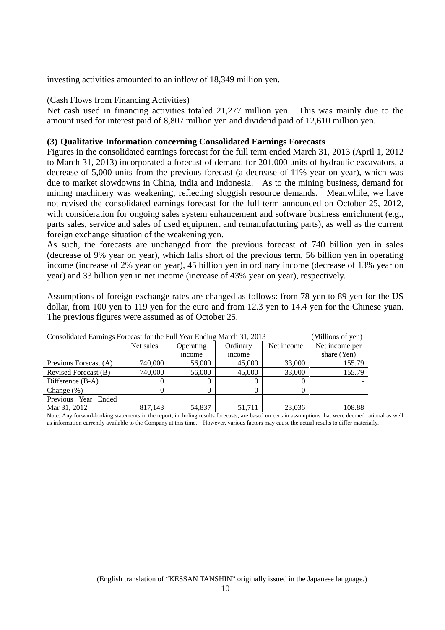investing activities amounted to an inflow of 18,349 million yen.

#### (Cash Flows from Financing Activities)

Net cash used in financing activities totaled 21,277 million yen. This was mainly due to the amount used for interest paid of 8,807 million yen and dividend paid of 12,610 million yen.

#### **(3) Qualitative Information concerning Consolidated Earnings Forecasts**

Figures in the consolidated earnings forecast for the full term ended March 31, 2013 (April 1, 2012 to March 31, 2013) incorporated a forecast of demand for 201,000 units of hydraulic excavators, a decrease of 5,000 units from the previous forecast (a decrease of 11% year on year), which was due to market slowdowns in China, India and Indonesia. As to the mining business, demand for mining machinery was weakening, reflecting sluggish resource demands. Meanwhile, we have not revised the consolidated earnings forecast for the full term announced on October 25, 2012, with consideration for ongoing sales system enhancement and software business enrichment (e.g., parts sales, service and sales of used equipment and remanufacturing parts), as well as the current foreign exchange situation of the weakening yen.

As such, the forecasts are unchanged from the previous forecast of 740 billion yen in sales (decrease of 9% year on year), which falls short of the previous term, 56 billion yen in operating income (increase of 2% year on year), 45 billion yen in ordinary income (decrease of 13% year on year) and 33 billion yen in net income (increase of 43% year on year), respectively.

Assumptions of foreign exchange rates are changed as follows: from 78 yen to 89 yen for the US dollar, from 100 yen to 119 yen for the euro and from 12.3 yen to 14.4 yen for the Chinese yuan. The previous figures were assumed as of October 25.

| Consolidated Earlings Forecast for the Full Tear Ending March 31, 2015<br>нишонѕ от уен) |           |           |          |            |                |  |
|------------------------------------------------------------------------------------------|-----------|-----------|----------|------------|----------------|--|
|                                                                                          | Net sales | Operating | Ordinary | Net income | Net income per |  |
|                                                                                          |           | income    | income   |            | share (Yen)    |  |
| Previous Forecast (A)                                                                    | 740,000   | 56,000    | 45,000   | 33,000     | 155.79         |  |
| Revised Forecast (B)                                                                     | 740,000   | 56,000    | 45,000   | 33,000     | 155.79         |  |
| Difference $(B-A)$                                                                       |           |           |          |            |                |  |
| Change $(\%)$                                                                            |           |           |          |            |                |  |
| Previous Year Ended                                                                      |           |           |          |            |                |  |
| Mar 31, 2012                                                                             | 817.143   | 54.837    | 51.711   | 23.036     | 108.88         |  |

 $\frac{C_1}{C_2}$  Full Year Ending March 21, 2012 (Millions of year)

Note: Any forward-looking statements in the report, including results forecasts, are based on certain assumptions that were deemed rational as well as information currently available to the Company at this time. However, various factors may cause the actual results to differ materially.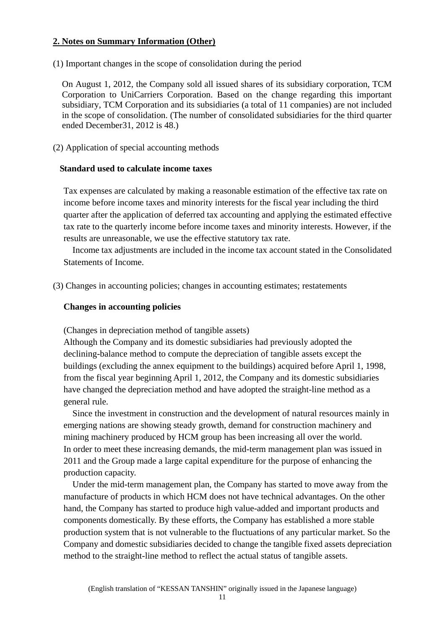#### **2. Notes on Summary Information (Other)**

(1) Important changes in the scope of consolidation during the period

On August 1, 2012, the Company sold all issued shares of its subsidiary corporation, TCM Corporation to UniCarriers Corporation. Based on the change regarding this important subsidiary, TCM Corporation and its subsidiaries (a total of 11 companies) are not included in the scope of consolidation. (The number of consolidated subsidiaries for the third quarter ended December31, 2012 is 48.)

(2) Application of special accounting methods

#### **Standard used to calculate income taxes**

Tax expenses are calculated by making a reasonable estimation of the effective tax rate on income before income taxes and minority interests for the fiscal year including the third quarter after the application of deferred tax accounting and applying the estimated effective tax rate to the quarterly income before income taxes and minority interests. However, if the results are unreasonable, we use the effective statutory tax rate.

Income tax adjustments are included in the income tax account stated in the Consolidated Statements of Income.

(3) Changes in accounting policies; changes in accounting estimates; restatements

#### **Changes in accounting policies**

(Changes in depreciation method of tangible assets)

Although the Company and its domestic subsidiaries had previously adopted the declining-balance method to compute the depreciation of tangible assets except the buildings (excluding the annex equipment to the buildings) acquired before April 1, 1998, from the fiscal year beginning April 1, 2012, the Company and its domestic subsidiaries have changed the depreciation method and have adopted the straight-line method as a general rule.

Since the investment in construction and the development of natural resources mainly in emerging nations are showing steady growth, demand for construction machinery and mining machinery produced by HCM group has been increasing all over the world. In order to meet these increasing demands, the mid-term management plan was issued in 2011 and the Group made a large capital expenditure for the purpose of enhancing the production capacity.

Under the mid-term management plan, the Company has started to move away from the manufacture of products in which HCM does not have technical advantages. On the other hand, the Company has started to produce high value-added and important products and components domestically. By these efforts, the Company has established a more stable production system that is not vulnerable to the fluctuations of any particular market. So the Company and domestic subsidiaries decided to change the tangible fixed assets depreciation method to the straight-line method to reflect the actual status of tangible assets.

11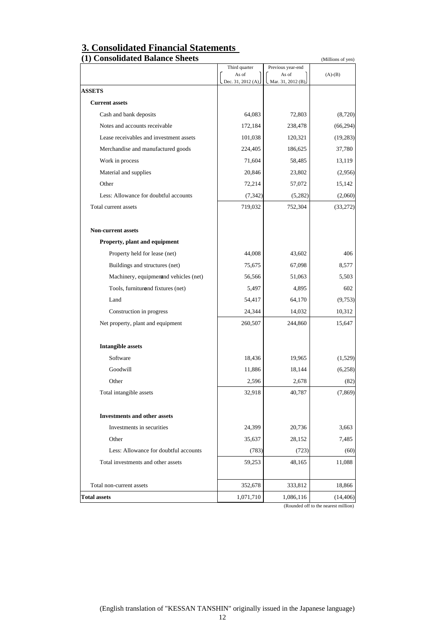## **3. Consolidated Financial Statements**

| Third quarter<br>Previous year-end<br>As of<br>As of<br>$(A)-(B)$<br>Dec. 31, 2012 (A).<br>Mar. 31, 2012 (B).<br><b>Current assets</b><br>64,083<br>Cash and bank deposits<br>72,803<br>Notes and accounts receivable<br>172,184<br>238,478<br>Lease receivables and investment assets<br>101,038<br>120,321<br>224,405<br>Merchandise and manufactured goods<br>186,625<br>37,780<br>71,604<br>58,485<br>Work in process<br>13,119<br>Material and supplies<br>20,846<br>23,802<br>Other<br>72,214<br>57,072<br>15,142<br>Less: Allowance for doubtful accounts<br>(7, 342)<br>(5,282)<br>Total current assets<br>719,032<br>752,304<br>(33, 272)<br><b>Non-current assets</b><br>Property, plant and equipment<br>44,008<br>Property held for lease (net)<br>43,602<br>406<br>67,098<br>Buildings and structures (net)<br>75,675<br>8,577<br>Machinery, equipment nd vehicles (net)<br>56,566<br>51,063<br>5,503<br>Tools, furniturand fixtures (net)<br>602<br>5,497<br>4,895<br>Land<br>54,417<br>64,170<br>Construction in progress<br>24,344<br>14,032<br>10,312<br>260,507<br>244,860<br>Net property, plant and equipment<br>15,647<br><b>Intangible assets</b><br>Software<br>18,436<br>19,965<br>Goodwill<br>11,886<br>18,144<br>Other<br>2,596<br>2,678<br>(82)<br>Total intangible assets<br>32,918<br>40,787<br>(7, 869)<br><b>Investments and other assets</b><br>24,399<br>Investments in securities<br>20,736<br>3,663<br>Other<br>35,637<br>28,152<br>7,485<br>Less: Allowance for doubtful accounts<br>(783)<br>(723)<br>(60)<br>59,253<br>48,165<br>11,088<br>Total investments and other assets<br>352,678<br>333,812<br>Total non-current assets<br>18,866<br>1,071,710<br>1,086,116<br>(14, 406) | (1) Consolidated Balance Sheets |  | (Millions of yen) |
|------------------------------------------------------------------------------------------------------------------------------------------------------------------------------------------------------------------------------------------------------------------------------------------------------------------------------------------------------------------------------------------------------------------------------------------------------------------------------------------------------------------------------------------------------------------------------------------------------------------------------------------------------------------------------------------------------------------------------------------------------------------------------------------------------------------------------------------------------------------------------------------------------------------------------------------------------------------------------------------------------------------------------------------------------------------------------------------------------------------------------------------------------------------------------------------------------------------------------------------------------------------------------------------------------------------------------------------------------------------------------------------------------------------------------------------------------------------------------------------------------------------------------------------------------------------------------------------------------------------------------------------------------------------------------------------------------------------------|---------------------------------|--|-------------------|
|                                                                                                                                                                                                                                                                                                                                                                                                                                                                                                                                                                                                                                                                                                                                                                                                                                                                                                                                                                                                                                                                                                                                                                                                                                                                                                                                                                                                                                                                                                                                                                                                                                                                                                                        |                                 |  |                   |
|                                                                                                                                                                                                                                                                                                                                                                                                                                                                                                                                                                                                                                                                                                                                                                                                                                                                                                                                                                                                                                                                                                                                                                                                                                                                                                                                                                                                                                                                                                                                                                                                                                                                                                                        |                                 |  |                   |
|                                                                                                                                                                                                                                                                                                                                                                                                                                                                                                                                                                                                                                                                                                                                                                                                                                                                                                                                                                                                                                                                                                                                                                                                                                                                                                                                                                                                                                                                                                                                                                                                                                                                                                                        | <b>ASSETS</b>                   |  |                   |
|                                                                                                                                                                                                                                                                                                                                                                                                                                                                                                                                                                                                                                                                                                                                                                                                                                                                                                                                                                                                                                                                                                                                                                                                                                                                                                                                                                                                                                                                                                                                                                                                                                                                                                                        |                                 |  |                   |
|                                                                                                                                                                                                                                                                                                                                                                                                                                                                                                                                                                                                                                                                                                                                                                                                                                                                                                                                                                                                                                                                                                                                                                                                                                                                                                                                                                                                                                                                                                                                                                                                                                                                                                                        |                                 |  | (8,720)           |
|                                                                                                                                                                                                                                                                                                                                                                                                                                                                                                                                                                                                                                                                                                                                                                                                                                                                                                                                                                                                                                                                                                                                                                                                                                                                                                                                                                                                                                                                                                                                                                                                                                                                                                                        |                                 |  | (66, 294)         |
|                                                                                                                                                                                                                                                                                                                                                                                                                                                                                                                                                                                                                                                                                                                                                                                                                                                                                                                                                                                                                                                                                                                                                                                                                                                                                                                                                                                                                                                                                                                                                                                                                                                                                                                        |                                 |  | (19, 283)         |
|                                                                                                                                                                                                                                                                                                                                                                                                                                                                                                                                                                                                                                                                                                                                                                                                                                                                                                                                                                                                                                                                                                                                                                                                                                                                                                                                                                                                                                                                                                                                                                                                                                                                                                                        |                                 |  |                   |
|                                                                                                                                                                                                                                                                                                                                                                                                                                                                                                                                                                                                                                                                                                                                                                                                                                                                                                                                                                                                                                                                                                                                                                                                                                                                                                                                                                                                                                                                                                                                                                                                                                                                                                                        |                                 |  |                   |
|                                                                                                                                                                                                                                                                                                                                                                                                                                                                                                                                                                                                                                                                                                                                                                                                                                                                                                                                                                                                                                                                                                                                                                                                                                                                                                                                                                                                                                                                                                                                                                                                                                                                                                                        |                                 |  | (2,956)           |
|                                                                                                                                                                                                                                                                                                                                                                                                                                                                                                                                                                                                                                                                                                                                                                                                                                                                                                                                                                                                                                                                                                                                                                                                                                                                                                                                                                                                                                                                                                                                                                                                                                                                                                                        |                                 |  |                   |
|                                                                                                                                                                                                                                                                                                                                                                                                                                                                                                                                                                                                                                                                                                                                                                                                                                                                                                                                                                                                                                                                                                                                                                                                                                                                                                                                                                                                                                                                                                                                                                                                                                                                                                                        |                                 |  | (2,060)           |
|                                                                                                                                                                                                                                                                                                                                                                                                                                                                                                                                                                                                                                                                                                                                                                                                                                                                                                                                                                                                                                                                                                                                                                                                                                                                                                                                                                                                                                                                                                                                                                                                                                                                                                                        |                                 |  |                   |
|                                                                                                                                                                                                                                                                                                                                                                                                                                                                                                                                                                                                                                                                                                                                                                                                                                                                                                                                                                                                                                                                                                                                                                                                                                                                                                                                                                                                                                                                                                                                                                                                                                                                                                                        |                                 |  |                   |
|                                                                                                                                                                                                                                                                                                                                                                                                                                                                                                                                                                                                                                                                                                                                                                                                                                                                                                                                                                                                                                                                                                                                                                                                                                                                                                                                                                                                                                                                                                                                                                                                                                                                                                                        |                                 |  |                   |
|                                                                                                                                                                                                                                                                                                                                                                                                                                                                                                                                                                                                                                                                                                                                                                                                                                                                                                                                                                                                                                                                                                                                                                                                                                                                                                                                                                                                                                                                                                                                                                                                                                                                                                                        |                                 |  |                   |
|                                                                                                                                                                                                                                                                                                                                                                                                                                                                                                                                                                                                                                                                                                                                                                                                                                                                                                                                                                                                                                                                                                                                                                                                                                                                                                                                                                                                                                                                                                                                                                                                                                                                                                                        |                                 |  |                   |
|                                                                                                                                                                                                                                                                                                                                                                                                                                                                                                                                                                                                                                                                                                                                                                                                                                                                                                                                                                                                                                                                                                                                                                                                                                                                                                                                                                                                                                                                                                                                                                                                                                                                                                                        |                                 |  |                   |
|                                                                                                                                                                                                                                                                                                                                                                                                                                                                                                                                                                                                                                                                                                                                                                                                                                                                                                                                                                                                                                                                                                                                                                                                                                                                                                                                                                                                                                                                                                                                                                                                                                                                                                                        |                                 |  |                   |
|                                                                                                                                                                                                                                                                                                                                                                                                                                                                                                                                                                                                                                                                                                                                                                                                                                                                                                                                                                                                                                                                                                                                                                                                                                                                                                                                                                                                                                                                                                                                                                                                                                                                                                                        |                                 |  | (9,753)           |
|                                                                                                                                                                                                                                                                                                                                                                                                                                                                                                                                                                                                                                                                                                                                                                                                                                                                                                                                                                                                                                                                                                                                                                                                                                                                                                                                                                                                                                                                                                                                                                                                                                                                                                                        |                                 |  |                   |
|                                                                                                                                                                                                                                                                                                                                                                                                                                                                                                                                                                                                                                                                                                                                                                                                                                                                                                                                                                                                                                                                                                                                                                                                                                                                                                                                                                                                                                                                                                                                                                                                                                                                                                                        |                                 |  |                   |
|                                                                                                                                                                                                                                                                                                                                                                                                                                                                                                                                                                                                                                                                                                                                                                                                                                                                                                                                                                                                                                                                                                                                                                                                                                                                                                                                                                                                                                                                                                                                                                                                                                                                                                                        |                                 |  |                   |
|                                                                                                                                                                                                                                                                                                                                                                                                                                                                                                                                                                                                                                                                                                                                                                                                                                                                                                                                                                                                                                                                                                                                                                                                                                                                                                                                                                                                                                                                                                                                                                                                                                                                                                                        |                                 |  | (1,529)           |
|                                                                                                                                                                                                                                                                                                                                                                                                                                                                                                                                                                                                                                                                                                                                                                                                                                                                                                                                                                                                                                                                                                                                                                                                                                                                                                                                                                                                                                                                                                                                                                                                                                                                                                                        |                                 |  | (6,258)           |
|                                                                                                                                                                                                                                                                                                                                                                                                                                                                                                                                                                                                                                                                                                                                                                                                                                                                                                                                                                                                                                                                                                                                                                                                                                                                                                                                                                                                                                                                                                                                                                                                                                                                                                                        |                                 |  |                   |
|                                                                                                                                                                                                                                                                                                                                                                                                                                                                                                                                                                                                                                                                                                                                                                                                                                                                                                                                                                                                                                                                                                                                                                                                                                                                                                                                                                                                                                                                                                                                                                                                                                                                                                                        |                                 |  |                   |
|                                                                                                                                                                                                                                                                                                                                                                                                                                                                                                                                                                                                                                                                                                                                                                                                                                                                                                                                                                                                                                                                                                                                                                                                                                                                                                                                                                                                                                                                                                                                                                                                                                                                                                                        |                                 |  |                   |
|                                                                                                                                                                                                                                                                                                                                                                                                                                                                                                                                                                                                                                                                                                                                                                                                                                                                                                                                                                                                                                                                                                                                                                                                                                                                                                                                                                                                                                                                                                                                                                                                                                                                                                                        |                                 |  |                   |
|                                                                                                                                                                                                                                                                                                                                                                                                                                                                                                                                                                                                                                                                                                                                                                                                                                                                                                                                                                                                                                                                                                                                                                                                                                                                                                                                                                                                                                                                                                                                                                                                                                                                                                                        |                                 |  |                   |
|                                                                                                                                                                                                                                                                                                                                                                                                                                                                                                                                                                                                                                                                                                                                                                                                                                                                                                                                                                                                                                                                                                                                                                                                                                                                                                                                                                                                                                                                                                                                                                                                                                                                                                                        |                                 |  |                   |
|                                                                                                                                                                                                                                                                                                                                                                                                                                                                                                                                                                                                                                                                                                                                                                                                                                                                                                                                                                                                                                                                                                                                                                                                                                                                                                                                                                                                                                                                                                                                                                                                                                                                                                                        |                                 |  |                   |
|                                                                                                                                                                                                                                                                                                                                                                                                                                                                                                                                                                                                                                                                                                                                                                                                                                                                                                                                                                                                                                                                                                                                                                                                                                                                                                                                                                                                                                                                                                                                                                                                                                                                                                                        |                                 |  |                   |
|                                                                                                                                                                                                                                                                                                                                                                                                                                                                                                                                                                                                                                                                                                                                                                                                                                                                                                                                                                                                                                                                                                                                                                                                                                                                                                                                                                                                                                                                                                                                                                                                                                                                                                                        | <b>Total assets</b>             |  |                   |

(English translation of "KESSAN TANSHIN" originally issued in the Japanese language)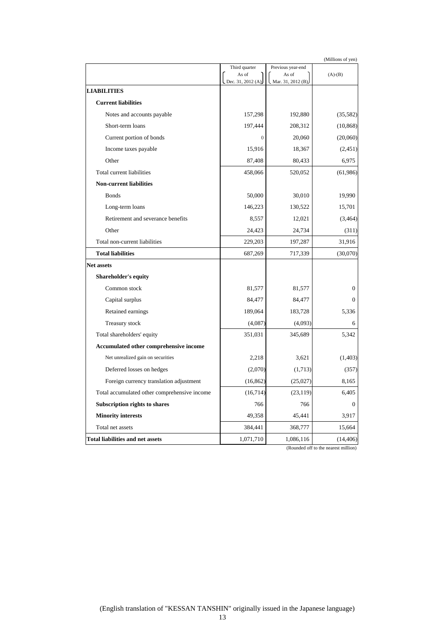|                                              | (Millions of yen)          |                             |              |
|----------------------------------------------|----------------------------|-----------------------------|--------------|
|                                              | Third quarter              | Previous year-end           |              |
|                                              | As of<br>Dec. 31, 2012 (A) | As of<br>Mar. 31, 2012 (B). | $(A)-(B)$    |
| <b>LIABILITIES</b>                           |                            |                             |              |
| <b>Current liabilities</b>                   |                            |                             |              |
| Notes and accounts payable                   | 157,298                    | 192,880                     | (35, 582)    |
| Short-term loans                             | 197,444                    | 208,312                     | (10, 868)    |
| Current portion of bonds                     | $\theta$                   | 20,060                      | (20,060)     |
| Income taxes payable                         | 15,916                     | 18,367                      | (2,451)      |
| Other                                        | 87,408                     | 80,433                      | 6,975        |
| Total current liabilities                    | 458,066                    | 520,052                     | (61,986)     |
| <b>Non-current liabilities</b>               |                            |                             |              |
| <b>Bonds</b>                                 | 50,000                     | 30,010                      | 19,990       |
| Long-term loans                              | 146,223                    | 130,522                     | 15,701       |
| Retirement and severance benefits            | 8,557                      | 12,021                      | (3,464)      |
| Other                                        | 24,423                     | 24,734                      | (311)        |
| Total non-current liabilities                | 229,203                    | 197,287                     | 31,916       |
| <b>Total liabilities</b>                     | 687,269                    | 717,339                     | (30,070)     |
| Net assets                                   |                            |                             |              |
| <b>Shareholder's equity</b>                  |                            |                             |              |
| Common stock                                 | 81,577                     | 81,577                      | $\mathbf{0}$ |
| Capital surplus                              | 84,477                     | 84,477                      | $\Omega$     |
| Retained earnings                            | 189,064                    | 183,728                     | 5,336        |
| Treasury stock                               | (4,087)                    | (4,093)                     | 6            |
| Total shareholders' equity                   | 351,031                    | 345,689                     | 5,342        |
| Accumulated other comprehensive income       |                            |                             |              |
| Net unrealized gain on securities            | 2,218                      | 3,621                       | (1,403)      |
| Deferred losses on hedges                    | (2,070)                    | (1,713)                     | (357)        |
| Foreign currency translation adjustment      | (16, 862)                  | (25,027)                    | 8,165        |
| Total accumulated other comprehensive income | (16, 714)                  | (23, 119)                   | 6,405        |
| Subscription rights to shares                | 766                        | 766                         | 0            |
| <b>Minority interests</b>                    | 49,358                     | 45,441                      | 3,917        |
| Total net assets                             | 384,441                    | 368,777                     | 15,664       |
| Total liabilities and net assets             | 1,071,710                  | 1,086,116                   | (14, 406)    |

(Rounded off to the nearest million)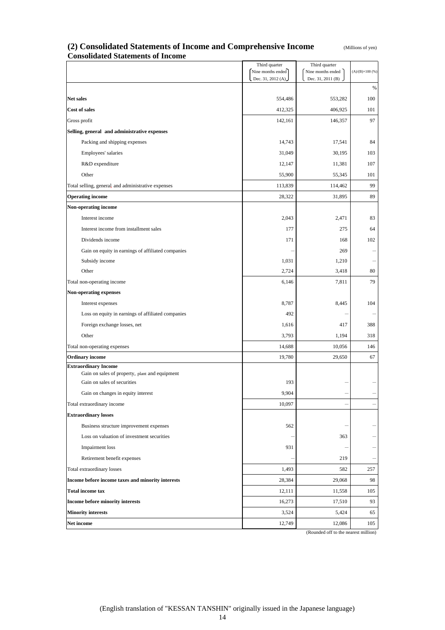| (Millions of yen) |  |
|-------------------|--|
|-------------------|--|

#### (2) Consolidated Statements of Income and Comprehensive Income **Consolidated Statements of Income**

|                                                                               | Third quarter                          | Third quarter                           |                         |
|-------------------------------------------------------------------------------|----------------------------------------|-----------------------------------------|-------------------------|
|                                                                               | Nine months ended<br>Dec. 31, 2012 (A) | Nine months ended<br>Dec. 31, 2011 (B). | $(A)/(B)\times 100$ (%) |
|                                                                               |                                        |                                         | $\%$                    |
| <b>Net sales</b>                                                              | 554,486                                | 553,282                                 | 100                     |
| Cost of sales                                                                 | 412,325                                | 406,925                                 | 101                     |
| Gross profit                                                                  | 142,161                                | 146,357                                 | 97                      |
| Selling, general and administrative expenses                                  |                                        |                                         |                         |
| Packing and shipping expenses                                                 | 14,743                                 | 17,541                                  | 84                      |
| Employees' salaries                                                           | 31,049                                 | 30,195                                  | 103                     |
| R&D expenditure                                                               | 12,147                                 | 11,381                                  | 107                     |
| Other                                                                         | 55,900                                 | 55,345                                  | 101                     |
| Total selling, general, and administrative expenses                           | 113,839                                | 114,462                                 | 99                      |
| <b>Operating income</b>                                                       | 28,322                                 | 31,895                                  | 89                      |
| <b>Non-operating income</b>                                                   |                                        |                                         |                         |
| Interest income                                                               | 2,043                                  | 2,471                                   | 83                      |
| Interest income from installment sales                                        | 177                                    | 275                                     | 64                      |
| Dividends income                                                              | 171                                    | 168                                     | 102                     |
| Gain on equity in earnings of affiliated companies                            |                                        | 269                                     |                         |
| Subsidy income                                                                | 1,031                                  | 1,210                                   |                         |
| Other                                                                         | 2,724                                  | 3,418                                   | 80                      |
| Total non-operating income                                                    | 6,146                                  | 7,811                                   | 79                      |
| Non-operating expenses                                                        |                                        |                                         |                         |
| Interest expenses                                                             | 8,787                                  | 8,445                                   | 104                     |
| Loss on equity in earnings of affiliated companies                            | 492                                    |                                         |                         |
| Foreign exchange losses, net                                                  | 1,616                                  | 417                                     | 388                     |
| Other                                                                         | 3,793                                  | 1,194                                   | 318                     |
| Total non-operating expenses                                                  | 14,688                                 | 10,056                                  | 146                     |
| <b>Ordinary income</b>                                                        | 19,780                                 | 29,650                                  | 67                      |
| <b>Extraordinary Income</b><br>Gain on sales of property, plant and equipment |                                        |                                         |                         |
| Gain on sales of securities                                                   | 193                                    |                                         |                         |
| Gain on changes in equity interest                                            | 9,904                                  |                                         |                         |
| Total extraordinary income                                                    | 10,097                                 |                                         |                         |
| <b>Extraordinary losses</b>                                                   |                                        |                                         |                         |
| Business structure improvement expenses                                       | 562                                    |                                         |                         |
| Loss on valuation of investment securities                                    |                                        | 363                                     |                         |
| Impairment loss                                                               | 931                                    |                                         |                         |
| Retirement benefit expenses                                                   |                                        | 219                                     |                         |
| Total extraordinary losses                                                    | 1,493                                  | 582                                     | 257                     |
| Income before income taxes and minority interests                             | 28,384                                 | 29,068                                  | 98                      |
| <b>Total income tax</b>                                                       | 12,111                                 | 11,558                                  | 105                     |
| Income before minority interests                                              | 16,273                                 | 17,510                                  | 93                      |
| <b>Minority interests</b>                                                     | 3,524                                  | 5,424                                   | 65                      |
| Net income                                                                    | 12,749                                 | 12,086                                  | 105                     |

(Rounded off to the nearest million)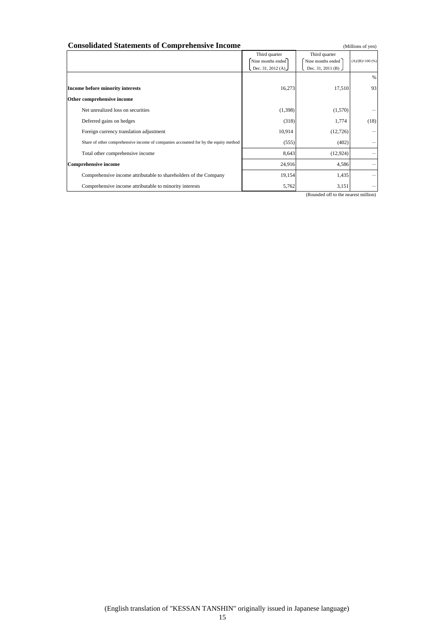| <b>Consolidated Statements of Comprehensive Income</b><br>(Millions of yen)         |                                                           |                                                         |                        |
|-------------------------------------------------------------------------------------|-----------------------------------------------------------|---------------------------------------------------------|------------------------|
|                                                                                     | Third quarter<br>Nine months ended<br>Dec. 31, 2012 $(A)$ | Third quarter<br>Nine months ended<br>Dec. 31, 2011 (B) | $(A)/(B)\times 100(%)$ |
| Income before minority interests                                                    | 16,273                                                    | 17,510                                                  | %<br>93                |
| Other comprehensive income                                                          |                                                           |                                                         |                        |
| Net unrealized loss on securities                                                   | (1,398)                                                   | (1,570)                                                 |                        |
| Deferred gains on hedges                                                            | (318)                                                     | 1,774                                                   | (18)                   |
| Foreign currency translation adjustment                                             | 10,914                                                    | (12,726)                                                |                        |
| Share of other comprehensive income of companies accounted for by the equity method | (555)                                                     | (402)                                                   |                        |
| Total other comprehensive income                                                    | 8,643                                                     | (12, 924)                                               |                        |
| <b>Comprehensive income</b>                                                         | 24,916                                                    | 4,586                                                   |                        |
| Comprehensive income attributable to shareholders of the Company                    | 19,154                                                    | 1,435                                                   |                        |
| Comprehensive income attributable to minority interests                             | 5,762                                                     | 3,151                                                   |                        |

(Rounded off to the nearest million)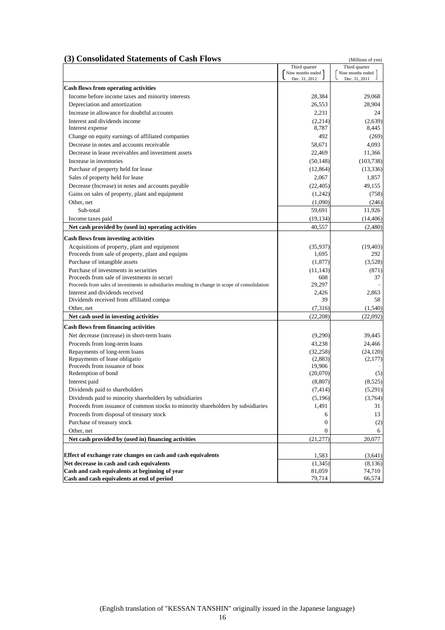#### **(3) Consolidated Statements of Cash Flows** (Millions of yen)

|                                                                                                   | Third quarter                      | Third quarter                      |
|---------------------------------------------------------------------------------------------------|------------------------------------|------------------------------------|
|                                                                                                   | Nine months ended<br>Dec. 31, 2012 | Nine months ended<br>Dec. 31, 2011 |
| <b>Cash flows from operating activities</b>                                                       |                                    |                                    |
| Income before income taxes and minority interests                                                 | 28,384                             | 29,068                             |
| Depreciation and amortization                                                                     | 26,553                             | 28,904                             |
| Increase in allowance for doubtful accounts                                                       | 2,231                              | 24                                 |
| Interest and dividends income                                                                     | (2,214)                            | (2,639)                            |
| Interest expense                                                                                  | 8,787                              | 8,445                              |
| Change on equity earnings of affiliated companies                                                 | 492                                | (269)                              |
| Decrease in notes and accounts receivable                                                         | 58,671                             | 4,093                              |
| Decrease in lease receivables and investment assets                                               | 22,469                             | 11,366                             |
| Increase in inventories                                                                           | (50, 148)                          | (103, 738)                         |
| Purchase of property held for lease                                                               | (12, 864)                          | (13, 336)                          |
| Sales of property held for lease                                                                  | 2,067                              | 1,857                              |
| Decrease (Increase) in notes and accounts payable                                                 | (22, 405)                          | 49,155                             |
| Gains on sales of property, plant and equipment                                                   | (1,242)                            | (758)                              |
| Other, net                                                                                        | (1,090)                            | (246)                              |
| Sub-total                                                                                         | 59.691                             | 11,926                             |
| Income taxes paid                                                                                 | (19, 134)                          | (14, 406)                          |
| Net cash provided by (used in) operating activities                                               | 40,557                             | (2,480)                            |
|                                                                                                   |                                    |                                    |
| <b>Cash flows from investing activities</b>                                                       |                                    |                                    |
| Acquisitions of property, plant and equipment<br>Proceeds from sale of property, plant and equipm | (35,937)<br>1,695                  | (19, 403)<br>292                   |
| Purchase of intangible assets                                                                     | (1, 877)                           | (3,528)                            |
| Purchase of investments in securities                                                             | (11, 143)                          | (871)                              |
| Proceeds from sale of investments in securi                                                       | 608                                | 37                                 |
| Proceeds from sales of investments in subsidiaries resulting in change in scope of consolidation  | 29,297                             |                                    |
| Interest and dividends received                                                                   | 2,426                              | 2,863                              |
| Dividends received from affiliated compar                                                         | 39                                 | 58                                 |
| Other, net                                                                                        | (7,316)                            | (1,540)                            |
| Net cash used in investing activities                                                             | (22, 208)                          | (22,092)                           |
| <b>Cash flows from financing activities</b>                                                       |                                    |                                    |
| Net decrease (increase) in short-term loans                                                       | (9,290)                            | 39,445                             |
| Proceeds from long-term loans                                                                     | 43,238                             | 24,466                             |
| Repayments of long-term loans                                                                     | (32, 258)                          | (24, 120)                          |
| Repayments of lease obligatio                                                                     | (2,883)                            | (2,177)                            |
| Proceeds from issuance of bond                                                                    | 19,906                             |                                    |
| Redemption of bond                                                                                | (20,070)                           | (5)                                |
| Interest paid                                                                                     | (8, 807)                           | (8,525)                            |
| Dividends paid to shareholders                                                                    | (7, 414)                           | (5,291)                            |
| Dividends paid to minority shareholders by subsidiaries                                           | (5, 196)                           | (3,764)                            |
| Proceeds from issuance of common stocks to minority shareholders by subsidiaries                  | 1,491                              | 31                                 |
| Proceeds from disposal of treasury stock                                                          | 6                                  | 13                                 |
| Purchase of treasury stock<br>Other, net                                                          | 0                                  | (2)                                |
| Net cash provided by (used in) financing activities                                               | 0                                  | 6                                  |
|                                                                                                   | (21, 277)                          | 20,077                             |
| Effect of exchange rate changes on cash and cash equivalents                                      | 1,583                              | (3,641)                            |
| Net decrease in cash and cash equivalents                                                         | (1, 345)                           | (8,136)                            |
| Cash and cash equivalents at beginning of year                                                    | 81,059                             | 74,710                             |
| Cash and cash equivalents at end of period                                                        | 79,714                             | 66,574                             |